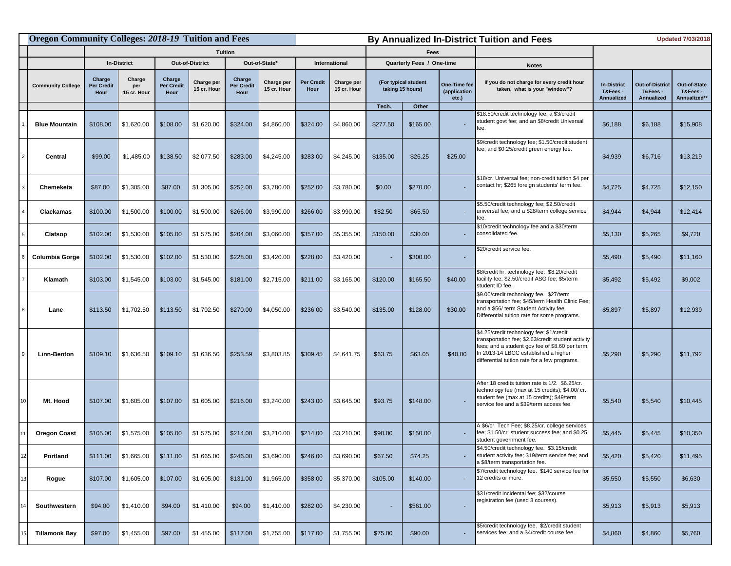|                | <b>Oregon Community Colleges: 2018-19 Tuition and Fees</b> |                                     |                              |                              |                           |                              |                           | By Annualized In-District Tuition and Fees |                           |                                          |          |                                          |                                                                                                                                                                                                                                            |                                             | <b>Updated 7/03/2018</b>                        |                                          |  |
|----------------|------------------------------------------------------------|-------------------------------------|------------------------------|------------------------------|---------------------------|------------------------------|---------------------------|--------------------------------------------|---------------------------|------------------------------------------|----------|------------------------------------------|--------------------------------------------------------------------------------------------------------------------------------------------------------------------------------------------------------------------------------------------|---------------------------------------------|-------------------------------------------------|------------------------------------------|--|
|                |                                                            | <b>Tuition</b>                      |                              |                              |                           |                              | Fees                      |                                            |                           |                                          |          |                                          |                                                                                                                                                                                                                                            |                                             |                                                 |                                          |  |
|                |                                                            | <b>In-District</b>                  |                              | <b>Out-of-District</b>       |                           | Out-of-State*                |                           | International                              |                           | Quarterly Fees / One-time                |          |                                          | <b>Notes</b>                                                                                                                                                                                                                               |                                             |                                                 |                                          |  |
|                | <b>Community College</b>                                   | Charge<br><b>Per Credit</b><br>Hour | Charge<br>per<br>15 cr. Hour | Charge<br>Per Credit<br>Hour | Charge per<br>15 cr. Hour | Charge<br>Per Credit<br>Hour | Charge per<br>15 cr. Hour | Per Credit<br>Hour                         | Charge per<br>15 cr. Hour | (For typical student<br>taking 15 hours) |          | One-Time fee<br>(application<br>$etc.$ ) | If you do not charge for every credit hour<br>taken, what is your "window"?                                                                                                                                                                | <b>In-District</b><br>T&Fees-<br>Annualized | <b>Out-of-District</b><br>T&Fees-<br>Annualized | Out-of-State<br>T&Fees -<br>Annualized** |  |
|                |                                                            |                                     |                              |                              |                           |                              |                           |                                            |                           | Tech.                                    | Other    |                                          |                                                                                                                                                                                                                                            |                                             |                                                 |                                          |  |
|                | <b>Blue Mountain</b>                                       | \$108.00                            | \$1,620.00                   | \$108.00                     | \$1,620.00                | \$324.00                     | \$4,860.00                | \$324.00                                   | \$4,860.00                | \$277.50                                 | \$165.00 |                                          | \$18.50/credit technology fee; a \$3/credit<br>student govt fee; and an \$8/credit Universal<br>fee.                                                                                                                                       | \$6,188                                     | \$6,188                                         | \$15,908                                 |  |
|                | Central                                                    | \$99.00                             | \$1,485.00                   | \$138.50                     | \$2,077.50                | \$283.00                     | \$4,245.00                | \$283.00                                   | \$4,245.00                | \$135.00                                 | \$26.25  | \$25.00                                  | \$9/credit technology fee; \$1.50/credit student<br>fee; and \$0.25/credit green energy fee.                                                                                                                                               | \$4,939                                     | \$6,716                                         | \$13,219                                 |  |
| 3              | Chemeketa                                                  | \$87.00                             | \$1,305.00                   | \$87.00                      | \$1,305.00                | \$252.00                     | \$3,780.00                | \$252.00                                   | \$3,780.00                | \$0.00                                   | \$270.00 |                                          | \$18/cr. Universal fee; non-credit tuition \$4 per<br>contact hr; \$265 foreign students' term fee.                                                                                                                                        | \$4,725                                     | \$4,725                                         | \$12,150                                 |  |
|                | Clackamas                                                  | \$100.00                            | \$1,500.00                   | \$100.00                     | \$1,500.00                | \$266.00                     | \$3,990.00                | \$266.00                                   | \$3,990.00                | \$82.50                                  | \$65.50  |                                          | \$5.50/credit technology fee; \$2.50/credit<br>universal fee; and a \$28/term college service                                                                                                                                              | \$4,944                                     | \$4,944                                         | \$12,414                                 |  |
| 5              | Clatsop                                                    | \$102.00                            | \$1,530.00                   | \$105.00                     | \$1,575.00                | \$204.00                     | \$3,060.00                | \$357.00                                   | \$5,355.00                | \$150.00                                 | \$30.00  |                                          | \$10/credit technology fee and a \$30/term<br>consolidated fee.                                                                                                                                                                            | \$5,130                                     | \$5,265                                         | \$9,720                                  |  |
|                | <b>Columbia Gorge</b>                                      | \$102.00                            | \$1,530.00                   | \$102.00                     | \$1,530.00                | \$228.00                     | \$3,420.00                | \$228.00                                   | \$3,420.00                | ÷.                                       | \$300.00 |                                          | \$20/credit service fee.                                                                                                                                                                                                                   | \$5,490                                     | \$5,490                                         | \$11,160                                 |  |
| $\overline{7}$ | Klamath                                                    | \$103.00                            | \$1,545.00                   | \$103.00                     | \$1,545.00                | \$181.00                     | \$2,715.00                | \$211.00                                   | \$3,165.00                | \$120.00                                 | \$165.50 | \$40.00                                  | \$8/credit hr. technology fee. \$8.20/credit<br>facility fee; \$2.50/credit ASG fee; \$5/term<br>student ID fee.                                                                                                                           | \$5,492                                     | \$5,492                                         | \$9,002                                  |  |
| 8              | Lane                                                       | \$113.50                            | \$1,702.50                   | \$113.50                     | \$1,702.50                | \$270.00                     | \$4,050.00                | \$236.00                                   | \$3,540.00                | \$135.00                                 | \$128.00 | \$30.00                                  | \$9.00/credit technology fee. \$27/term<br>transportation fee; \$45/term Health Clinic Fee;<br>and a \$56/ term Student Activity fee.<br>Differential tuition rate for some programs.                                                      | \$5,897                                     | \$5,897                                         | \$12,939                                 |  |
|                | <b>Linn-Benton</b>                                         | \$109.10                            | \$1,636.50                   | \$109.10                     | \$1,636.50                | \$253.59                     | \$3,803.85                | \$309.45                                   | \$4,641.75                | \$63.75                                  | \$63.05  | \$40.00                                  | \$4.25/credit technology fee; \$1/credit<br>transportation fee; \$2.63/credit student activity<br>fees; and a student gov fee of \$8.60 per term.<br>In 2013-14 LBCC established a higher<br>differential tuition rate for a few programs. | \$5,290                                     | \$5,290                                         | \$11,792                                 |  |
|                | Mt. Hood                                                   | \$107.00                            | \$1,605.00                   | \$107.00                     | \$1,605.00                | \$216.00                     | \$3,240.00                | \$243.00                                   | \$3,645.00                | \$93.75                                  | \$148.00 |                                          | After 18 credits tuition rate is 1/2. \$6.25/cr.<br>technology fee (max at 15 credits); \$4.00/ cr.<br>student fee (max at 15 credits); \$49/term<br>service fee and a \$39/term access fee.                                               | \$5,540                                     | \$5,540                                         | \$10,445                                 |  |
|                | <b>Oregon Coast</b>                                        | \$105.00                            | \$1,575.00                   | \$105.00                     | \$1,575.00                | \$214.00                     | \$3,210.00                | \$214.00                                   | \$3,210.00                | \$90.00                                  | \$150.00 |                                          | 4 \$6/cr. Tech Fee; \$8.25/cr. college services<br>fee; \$1.50/cr. student success fee; and \$0.25<br>student government fee.                                                                                                              | \$5,445                                     | \$5,445                                         | \$10,350                                 |  |
| 12             | Portland                                                   | \$111.00                            | \$1,665.00                   | \$111.00                     | \$1,665.00                | \$246.00                     | \$3,690.00                | \$246.00                                   | \$3,690.00                | \$67.50                                  | \$74.25  |                                          | \$4.50/credit technology fee. \$3.15/credit<br>student activity fee; \$19/term service fee; and<br>a \$8/term transportation fee.                                                                                                          | \$5,420                                     | \$5,420                                         | \$11,495                                 |  |
| 13             | Rogue                                                      | \$107.00                            | \$1,605.00                   | \$107.00                     | \$1,605.00                | \$131.00                     | \$1,965.00                | \$358.00                                   | \$5,370.00                | \$105.00                                 | \$140.00 |                                          | \$7/credit technology fee. \$140 service fee for<br>12 credits or more.                                                                                                                                                                    | \$5,550                                     | \$5,550                                         | \$6,630                                  |  |
|                | Southwestern                                               | \$94.00                             | \$1,410.00                   | \$94.00                      | \$1,410.00                | \$94.00                      | \$1,410.00                | \$282.00                                   | \$4,230.00                |                                          | \$561.00 |                                          | \$31/credit incidental fee; \$32/course<br>registration fee (used 3 courses).                                                                                                                                                              | \$5,913                                     | \$5,913                                         | \$5,913                                  |  |
|                | <b>Tillamook Bay</b>                                       | \$97.00                             | \$1,455.00                   | \$97.00                      | \$1,455.00                | \$117.00                     | \$1,755.00                | \$117.00                                   | \$1,755.00                | \$75.00                                  | \$90.00  |                                          | \$5/credit technology fee. \$2/credit student<br>services fee; and a \$4/credit course fee.                                                                                                                                                | \$4,860                                     | \$4,860                                         | \$5,760                                  |  |